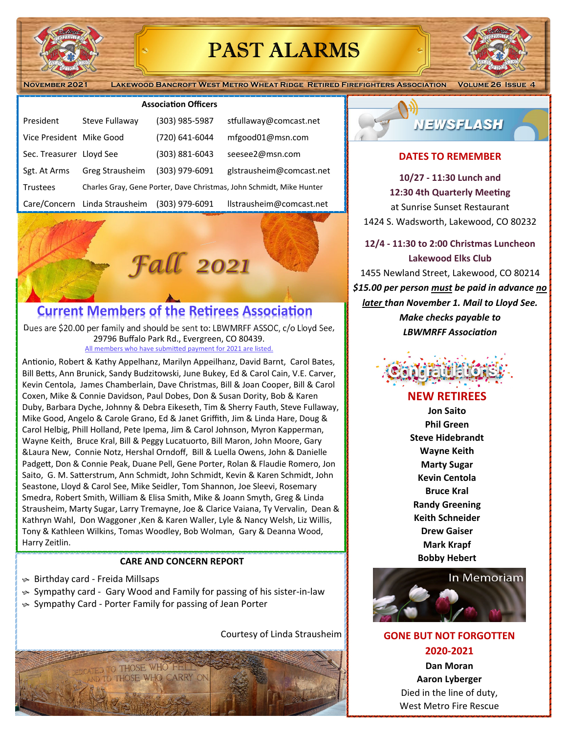

## PAST ALARMS

**November 2021 Lakewood Bancroft West Metro Wheat Ridge Retired Firefighters Association Volume 26 Issue 4**

#### **AssociaƟon Officers**

| President                | Steve Fullaway                                                       | (303) 985-5987 | stfullaway@comcast.net   |
|--------------------------|----------------------------------------------------------------------|----------------|--------------------------|
| Vice President Mike Good |                                                                      | (720) 641-6044 | mfgood01@msn.com         |
| Sec. Treasurer Lloyd See |                                                                      | (303) 881-6043 | seesee2@msn.com          |
| Sgt. At Arms             | Greg Strausheim                                                      | (303) 979-6091 | glstrausheim@comcast.net |
| <b>Trustees</b>          | Charles Gray, Gene Porter, Dave Christmas, John Schmidt, Mike Hunter |                |                          |
| Care/Concern             | Linda Strausheim                                                     | (303) 979-6091 | llstrausheim@comcast.net |

# **Fall 2021**

### **Current Members of the Retirees Association**

Dues are \$20.00 per family and should be sent to: LBWMRFF ASSOC, c/o Lloyd See, 29796 Buffalo Park Rd., Evergreen, CO 80439. All members who have submitted payment for 2021 are listed.

Antionio, Robert & Kathy Appelhanz, Marilyn Appeilhanz, David Barnt, Carol Bates, Bill Betts, Ann Brunick, Sandy Budzitowski, June Bukey, Ed & Carol Cain, V.E. Carver, Kevin Centola, James Chamberlain, Dave Christmas, Bill & Joan Cooper, Bill & Carol Coxen, Mike & Connie Davidson, Paul Dobes, Don & Susan Dority, Bob & Karen Duby, Barbara Dyche, Johnny & Debra Eikeseth, Tim & Sherry Fauth, Steve Fullaway, Mike Good, Angelo & Carole Grano, Ed & Janet Griffith, Jim & Linda Hare, Doug & Carol Helbig, Phill Holland, Pete Ipema, Jim & Carol Johnson, Myron Kapperman, Wayne Keith, Bruce Kral, Bill & Peggy Lucatuorto, Bill Maron, John Moore, Gary &Laura New, Connie Notz, Hershal Orndoff, Bill & Luella Owens, John & Danielle Padgett, Don & Connie Peak, Duane Pell, Gene Porter, Rolan & Flaudie Romero, Jon Saito, G. M. Satterstrum, Ann Schmidt, John Schmidt, Kevin & Karen Schmidt, John Seastone, Lloyd & Carol See, Mike Seidler, Tom Shannon, Joe Sleevi, Rosemary Smedra, Robert Smith, William & Elisa Smith, Mike & Joann Smyth, Greg & Linda Strausheim, Marty Sugar, Larry Tremayne, Joe & Clarice Vaiana, Ty Vervalin, Dean & Kathryn Wahl, Don Waggoner ,Ken & Karen Waller, Lyle & Nancy Welsh, Liz Willis, Tony & Kathleen Wilkins, Tomas Woodley, Bob Wolman, Gary & Deanna Wood, Harry Zeitlin.

#### **CARE AND CONCERN REPORT**

- Birthday card ‐ Freida Millsaps
- Sympathy card ‐ Gary Wood and Family for passing of his sister‐in‐law
- Sympathy Card ‐ Porter Family for passing of Jean Porter

Courtesy of Linda Strausheim **FORGOTTEN** 





#### **DATES TO REMEMBER**

**10/27 ‐ 11:30 Lunch and**  12:30 4th Quarterly Meeting at Sunrise Sunset Restaurant 1424 S. Wadsworth, Lakewood, CO 80232

**12/4 ‐ 11:30 to 2:00 Christmas Luncheon Lakewood Elks Club**  1455 Newland Street, Lakewood, CO 80214 *\$15.00 per person must be paid in advance no later than November 1. Mail to Lloyd See. Make checks payable to LBWMRFF AssociaƟon* 



#### **NEW RETIREES**

**Jon Saito Phil Green Steve Hidebrandt Wayne Keith Marty Sugar Kevin Centola Bruce Kral Randy Greening Keith Schneider Drew Gaiser Mark Krapf Bobby Hebert** 



## **2020‐2021**

**Dan Moran Aaron Lyberger**  Died in the line of duty, West Metro Fire Rescue